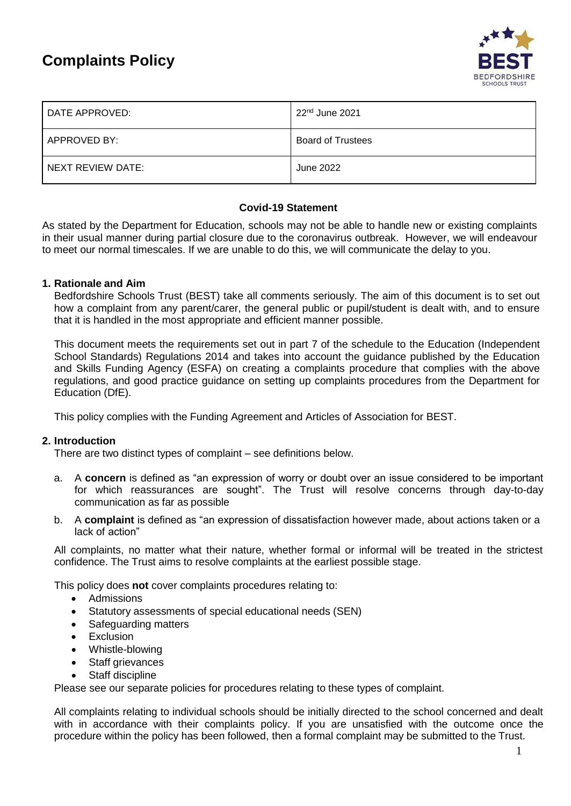# **Complaints Policy**



| DATE APPROVED:    | 22 <sup>nd</sup> June 2021 |
|-------------------|----------------------------|
| APPROVED BY:      | <b>Board of Trustees</b>   |
| NEXT REVIEW DATE: | June 2022                  |

#### **Covid-19 Statement**

As stated by the Department for Education, schools may not be able to handle new or existing complaints in their usual manner during partial closure due to the coronavirus outbreak. However, we will endeavour to meet our normal timescales. If we are unable to do this, we will communicate the delay to you.

#### **1. Rationale and Aim**

Bedfordshire Schools Trust (BEST) take all comments seriously. The aim of this document is to set out how a complaint from any parent/carer, the general public or pupil/student is dealt with, and to ensure that it is handled in the most appropriate and efficient manner possible.

This document meets the requirements set out in part 7 of the schedule to [the Education \(Independent](http://www.legislation.gov.uk/uksi/2014/3283/schedule/made) [School Standards\) Regulations 2014 a](http://www.legislation.gov.uk/uksi/2014/3283/schedule/made)nd takes into account the guidance published by the Education and Skills Funding Agency (ESFA) on [creating a complaints procedure that complies](https://www.gov.uk/government/publications/setting-up-an-academies-complaints-procedure) with the above [regulations,](https://www.gov.uk/government/publications/setting-up-an-academies-complaints-procedure) and [good practice guidance on setting up complaints procedures f](https://www.gov.uk/government/publications/school-complaints-procedures)rom the Department for Education (DfE).

This policy complies with the Funding Agreement and Articles of Association for BEST.

#### **2. Introduction**

There are two distinct types of complaint – see definitions below.

- a. A **concern** is defined as "an expression of worry or doubt over an issue considered to be important for which reassurances are sought". The Trust will resolve concerns through day-to-day communication as far as possible
- b. A **complaint** is defined as "an expression of dissatisfaction however made, about actions taken or a lack of action"

All complaints, no matter what their nature, whether formal or informal will be treated in the strictest confidence. The Trust aims to resolve complaints at the earliest possible stage.

This policy does **not** cover complaints procedures relating to:

- Admissions
- Statutory assessments of special educational needs (SEN)
- Safeguarding matters
- Exclusion
- Whistle-blowing
- Staff grievances
- Staff discipline

Please see our separate policies for procedures relating to these types of complaint.

All complaints relating to individual schools should be initially directed to the school concerned and dealt with in accordance with their complaints policy. If you are unsatisfied with the outcome once the procedure within the policy has been followed, then a formal complaint may be submitted to the Trust.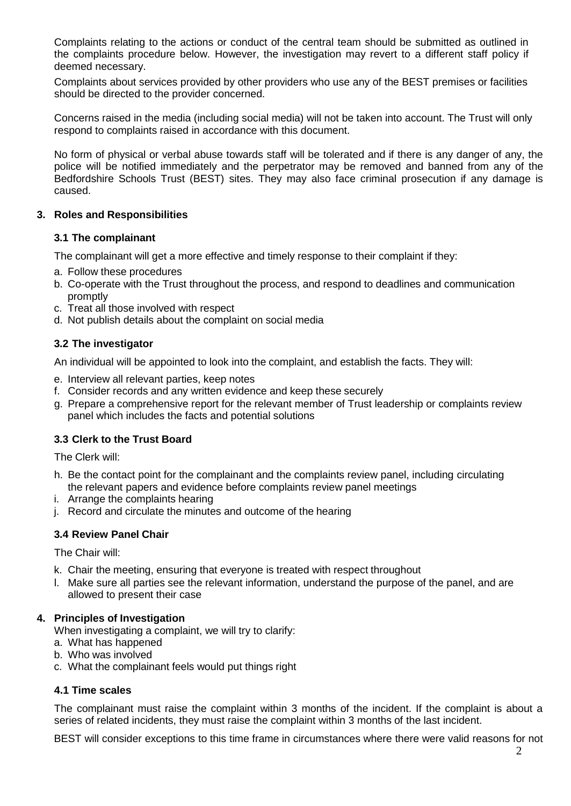Complaints relating to the actions or conduct of the central team should be submitted as outlined in the complaints procedure below. However, the investigation may revert to a different staff policy if deemed necessary.

Complaints about services provided by other providers who use any of the BEST premises or facilities should be directed to the provider concerned.

Concerns raised in the media (including social media) will not be taken into account. The Trust will only respond to complaints raised in accordance with this document.

No form of physical or verbal abuse towards staff will be tolerated and if there is any danger of any, the police will be notified immediately and the perpetrator may be removed and banned from any of the Bedfordshire Schools Trust (BEST) sites. They may also face criminal prosecution if any damage is caused.

#### **3. Roles and Responsibilities**

#### **3.1 The complainant**

The complainant will get a more effective and timely response to their complaint if they:

- a. Follow these procedures
- b. Co-operate with the Trust throughout the process, and respond to deadlines and communication promptly
- c. Treat all those involved with respect
- d. Not publish details about the complaint on social media

#### **3.2 The investigator**

An individual will be appointed to look into the complaint, and establish the facts. They will:

- e. Interview all relevant parties, keep notes
- f. Consider records and any written evidence and keep these securely
- g. Prepare a comprehensive report for the relevant member of Trust leadership or complaints review panel which includes the facts and potential solutions

#### **3.3 Clerk to the Trust Board**

The Clerk will:

- h. Be the contact point for the complainant and the complaints review panel, including circulating the relevant papers and evidence before complaints review panel meetings
- i. Arrange the complaints hearing
- j. Record and circulate the minutes and outcome of the hearing

#### **3.4 Review Panel Chair**

The Chair will:

- k. Chair the meeting, ensuring that everyone is treated with respect throughout
- l. Make sure all parties see the relevant information, understand the purpose of the panel, and are allowed to present their case

#### **4. Principles of Investigation**

When investigating a complaint, we will try to clarify:

- a. What has happened
- b. Who was involved
- c. What the complainant feels would put things right

#### **4.1 Time scales**

The complainant must raise the complaint within 3 months of the incident. If the complaint is about a series of related incidents, they must raise the complaint within 3 months of the last incident.

BEST will consider exceptions to this time frame in circumstances where there were valid reasons for not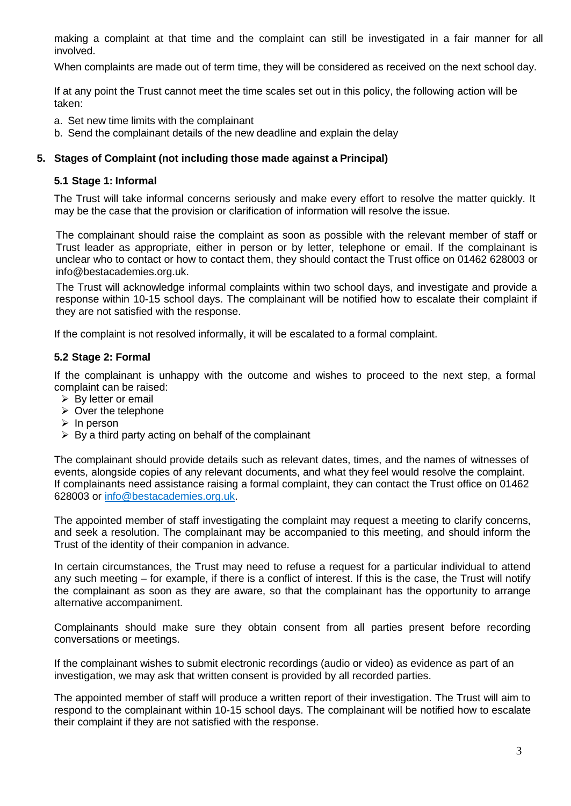making a complaint at that time and the complaint can still be investigated in a fair manner for all involved.

When complaints are made out of term time, they will be considered as received on the next school day.

If at any point the Trust cannot meet the time scales set out in this policy, the following action will be taken:

- a. Set new time limits with the complainant
- b. Send the complainant details of the new deadline and explain the delay

#### **5. Stages of Complaint (not including those made against a Principal)**

#### **5.1 Stage 1: Informal**

The Trust will take informal concerns seriously and make every effort to resolve the matter quickly. It may be the case that the provision or clarification of information will resolve the issue.

The complainant should raise the complaint as soon as possible with the relevant member of staff or Trust leader as appropriate, either in person or by letter, telephone or email. If the complainant is unclear who to contact or how to contact them, they should contact the Trust office on 01462 628003 or [info@bestacademies.org.uk.](mailto:info@bestacademies.org.uk)

The Trust will acknowledge informal complaints within two school days, and investigate and provide a response within 10-15 school days. The complainant will be notified how to escalate their complaint if they are not satisfied with the response.

If the complaint is not resolved informally, it will be escalated to a formal complaint.

#### **5.2 Stage 2: Formal**

If the complainant is unhappy with the outcome and wishes to proceed to the next step, a formal complaint can be raised:

- ➢ By letter or email
- $\triangleright$  Over the telephone
- ➢ In person
- $\triangleright$  By a third party acting on behalf of the complainant

The complainant should provide details such as relevant dates, times, and the names of witnesses of events, alongside copies of any relevant documents, and what they feel would resolve the complaint. If complainants need assistance raising a formal complaint, they can contact the Trust office on 01462 628003 or [info@bestacademies.org.uk.](mailto:info@bestacademies.org.uk)

The appointed member of staff investigating the complaint may request a meeting to clarify concerns, and seek a resolution. The complainant may be accompanied to this meeting, and should inform the Trust of the identity of their companion in advance.

In certain circumstances, the Trust may need to refuse a request for a particular individual to attend any such meeting – for example, if there is a conflict of interest. If this is the case, the Trust will notify the complainant as soon as they are aware, so that the complainant has the opportunity to arrange alternative accompaniment.

Complainants should make sure they obtain consent from all parties present before recording conversations or meetings.

If the complainant wishes to submit electronic recordings (audio or video) as evidence as part of an investigation, we may ask that written consent is provided by all recorded parties.

The appointed member of staff will produce a written report of their investigation. The Trust will aim to respond to the complainant within 10-15 school days. The complainant will be notified how to escalate their complaint if they are not satisfied with the response.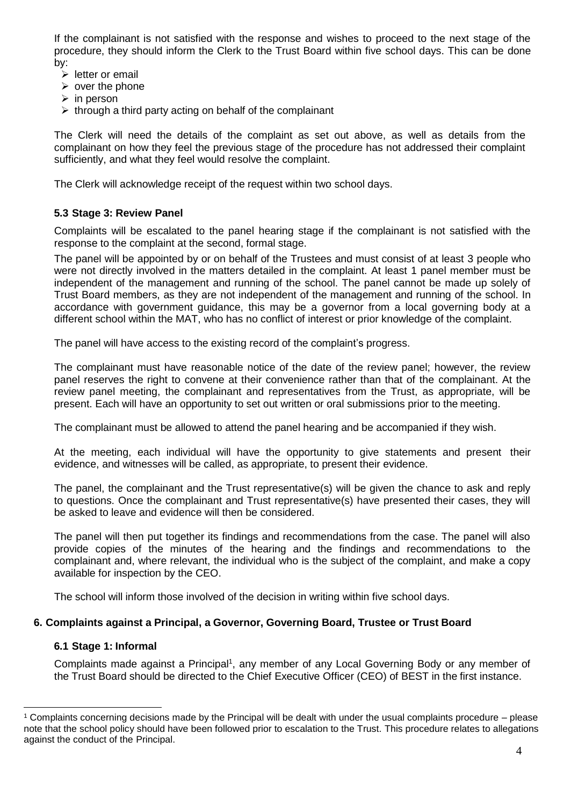If the complainant is not satisfied with the response and wishes to proceed to the next stage of the procedure, they should inform the Clerk to the Trust Board within five school days. This can be done by:

- ➢ letter or email
- $\triangleright$  over the phone
- $\triangleright$  in person
- $\triangleright$  through a third party acting on behalf of the complainant

The Clerk will need the details of the complaint as set out above, as well as details from the complainant on how they feel the previous stage of the procedure has not addressed their complaint sufficiently, and what they feel would resolve the complaint.

The Clerk will acknowledge receipt of the request within two school days.

#### **5.3 Stage 3: Review Panel**

Complaints will be escalated to the panel hearing stage if the complainant is not satisfied with the response to the complaint at the second, formal stage.

The panel will be appointed by or on behalf of the Trustees and must consist of at least 3 people who were not directly involved in the matters detailed in the complaint. At least 1 panel member must be independent of the management and running of the school. The panel cannot be made up solely of Trust Board members, as they are not independent of the management and running of the school. In accordance with government guidance, this may be a governor from a local governing body at a different school within the MAT, who has no conflict of interest or prior knowledge of the complaint.

The panel will have access to the existing record of the complaint's progress.

The complainant must have reasonable notice of the date of the review panel; however, the review panel reserves the right to convene at their convenience rather than that of the complainant. At the review panel meeting, the complainant and representatives from the Trust, as appropriate, will be present. Each will have an opportunity to set out written or oral submissions prior to the meeting.

The complainant must be allowed to attend the panel hearing and be accompanied if they wish.

At the meeting, each individual will have the opportunity to give statements and present their evidence, and witnesses will be called, as appropriate, to present their evidence.

The panel, the complainant and the Trust representative(s) will be given the chance to ask and reply to questions. Once the complainant and Trust representative(s) have presented their cases, they will be asked to leave and evidence will then be considered.

The panel will then put together its findings and recommendations from the case. The panel will also provide copies of the minutes of the hearing and the findings and recommendations to the complainant and, where relevant, the individual who is the subject of the complaint, and make a copy available for inspection by the CEO.

The school will inform those involved of the decision in writing within five school days.

#### **6. Complaints against a Principal, a Governor, Governing Board, Trustee or Trust Board**

#### **6.1 Stage 1: Informal**

 $\overline{a}$ 

Complaints made against a Principal<sup>1</sup>, any member of any Local Governing Body or any member of the Trust Board should be directed to the Chief Executive Officer (CEO) of BEST in the first instance.

<sup>1</sup> Complaints concerning decisions made by the Principal will be dealt with under the usual complaints procedure – please note that the school policy should have been followed prior to escalation to the Trust. This procedure relates to allegations against the conduct of the Principal.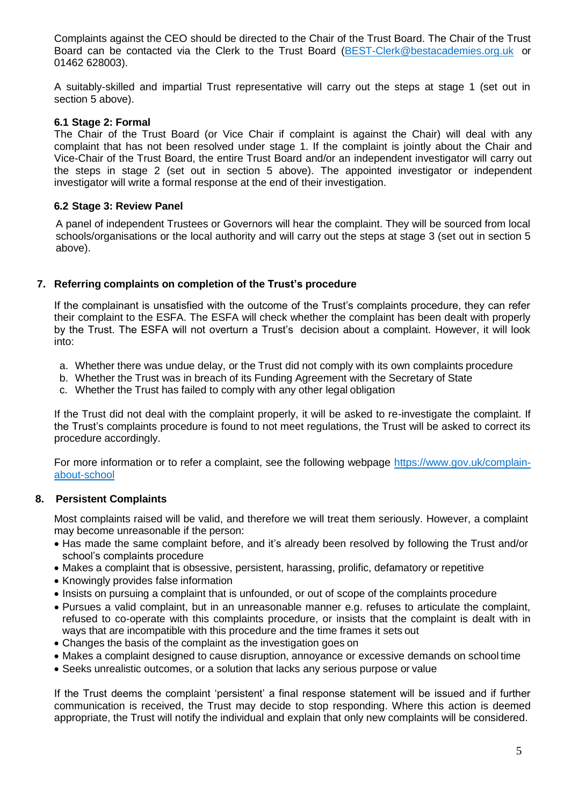Complaints against the CEO should be directed to the Chair of the Trust Board. The Chair of the Trust Board can be contacted via the Clerk to the Trust Board [\(BEST-Clerk@bestacademies.org.uk](mailto:BEST-Clerk@bestacademies.org.uk) or 01462 628003).

A suitably-skilled and impartial Trust representative will carry out the steps at stage 1 (set out in section 5 above).

#### **6.1 Stage 2: Formal**

The Chair of the Trust Board (or Vice Chair if complaint is against the Chair) will deal with any complaint that has not been resolved under stage 1. If the complaint is jointly about the Chair and Vice-Chair of the Trust Board, the entire Trust Board and/or an independent investigator will carry out the steps in stage 2 (set out in section 5 above). The appointed investigator or independent investigator will write a formal response at the end of their investigation.

#### **6.2 Stage 3: Review Panel**

A panel of independent Trustees or Governors will hear the complaint. They will be sourced from local schools/organisations or the local authority and will carry out the steps at stage 3 (set out in section 5 above).

#### **7. Referring complaints on completion of the Trust's procedure**

If the complainant is unsatisfied with the outcome of the Trust's complaints procedure, they can refer their complaint to the ESFA. The ESFA will check whether the complaint has been dealt with properly by the Trust. The ESFA will not overturn a Trust's decision about a complaint. However, it will look into:

- a. Whether there was undue delay, or the Trust did not comply with its own complaints procedure
- b. Whether the Trust was in breach of its Funding Agreement with the Secretary of State
- c. Whether the Trust has failed to comply with any other legal obligation

If the Trust did not deal with the complaint properly, it will be asked to re-investigate the complaint. If the Trust's complaints procedure is found to not meet regulations, the Trust will be asked to correct its procedure accordingly.

For more information or to refer a complaint, see the following webpage [https://www.gov.uk/complain](https://www.gov.uk/complain-about-school)[about-school](https://www.gov.uk/complain-about-school)

#### **8. Persistent Complaints**

Most complaints raised will be valid, and therefore we will treat them seriously. However, a complaint may become unreasonable if the person:

- Has made the same complaint before, and it's already been resolved by following the Trust and/or school's complaints procedure
- Makes a complaint that is obsessive, persistent, harassing, prolific, defamatory or repetitive
- Knowingly provides false information
- Insists on pursuing a complaint that is unfounded, or out of scope of the complaints procedure
- Pursues a valid complaint, but in an unreasonable manner e.g. refuses to articulate the complaint, refused to co-operate with this complaints procedure, or insists that the complaint is dealt with in ways that are incompatible with this procedure and the time frames it sets out
- Changes the basis of the complaint as the investigation goes on
- Makes a complaint designed to cause disruption, annoyance or excessive demands on school time
- Seeks unrealistic outcomes, or a solution that lacks any serious purpose or value

If the Trust deems the complaint 'persistent' a final response statement will be issued and if further communication is received, the Trust may decide to stop responding. Where this action is deemed appropriate, the Trust will notify the individual and explain that only new complaints will be considered.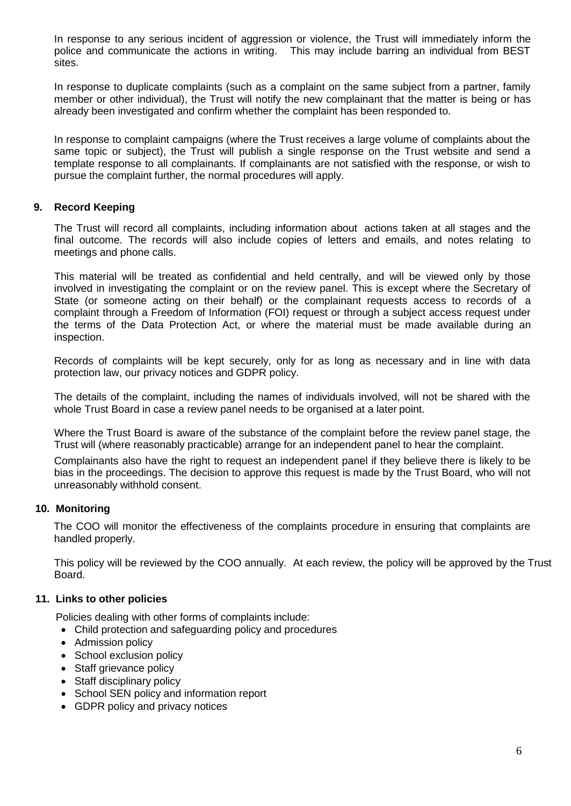In response to any serious incident of aggression or violence, the Trust will immediately inform the police and communicate the actions in writing. This may include barring an individual from BEST sites.

In response to duplicate complaints (such as a complaint on the same subject from a partner, family member or other individual), the Trust will notify the new complainant that the matter is being or has already been investigated and confirm whether the complaint has been responded to.

In response to complaint campaigns (where the Trust receives a large volume of complaints about the same topic or subject), the Trust will publish a single response on the Trust website and send a template response to all complainants. If complainants are not satisfied with the response, or wish to pursue the complaint further, the normal procedures will apply.

#### **9. Record Keeping**

The Trust will record all complaints, including information about actions taken at all stages and the final outcome. The records will also include copies of letters and emails, and notes relating to meetings and phone calls.

This material will be treated as confidential and held centrally, and will be viewed only by those involved in investigating the complaint or on the review panel. This is except where the Secretary of State (or someone acting on their behalf) or the complainant requests access to records of a complaint through a Freedom of Information (FOI) request or through a subject access request under the terms of the Data Protection Act, or where the material must be made available during an inspection.

Records of complaints will be kept securely, only for as long as necessary and in line with data protection law, our privacy notices and GDPR policy.

The details of the complaint, including the names of individuals involved, will not be shared with the whole Trust Board in case a review panel needs to be organised at a later point.

Where the Trust Board is aware of the substance of the complaint before the review panel stage, the Trust will (where reasonably practicable) arrange for an independent panel to hear the complaint.

Complainants also have the right to request an independent panel if they believe there is likely to be bias in the proceedings. The decision to approve this request is made by the Trust Board, who will not unreasonably withhold consent.

#### **10. Monitoring**

The COO will monitor the effectiveness of the complaints procedure in ensuring that complaints are handled properly.

This policy will be reviewed by the COO annually. At each review, the policy will be approved by the Trust Board.

#### **11. Links to other policies**

Policies dealing with other forms of complaints include:

- Child protection and safeguarding policy and procedures
- Admission policy
- School exclusion policy
- Staff grievance policy
- Staff disciplinary policy
- School SEN policy and information report
- GDPR policy and privacy notices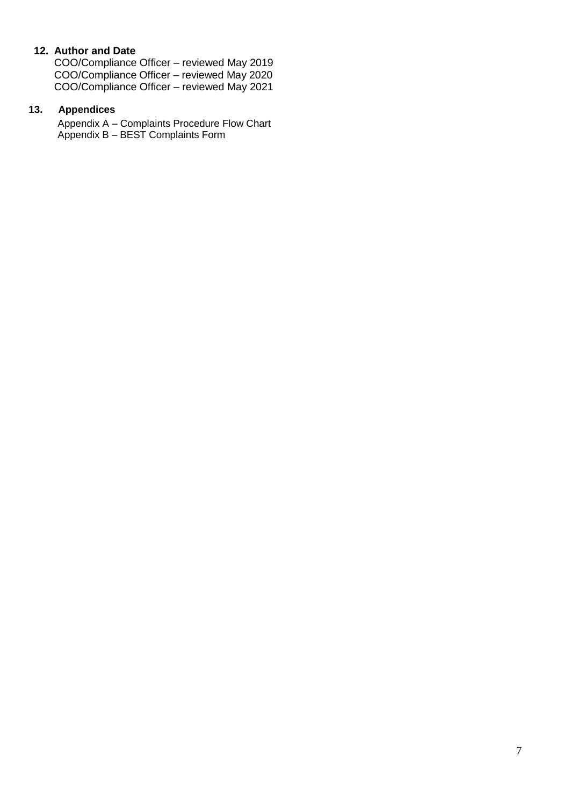### **12. Author and Date**

COO/Compliance Officer – reviewed May 2019 COO/Compliance Officer – reviewed May 2020 COO/Compliance Officer – reviewed May 2021

#### **13. Appendices**

Appendix A – Complaints Procedure Flow Chart Appendix B – BEST Complaints Form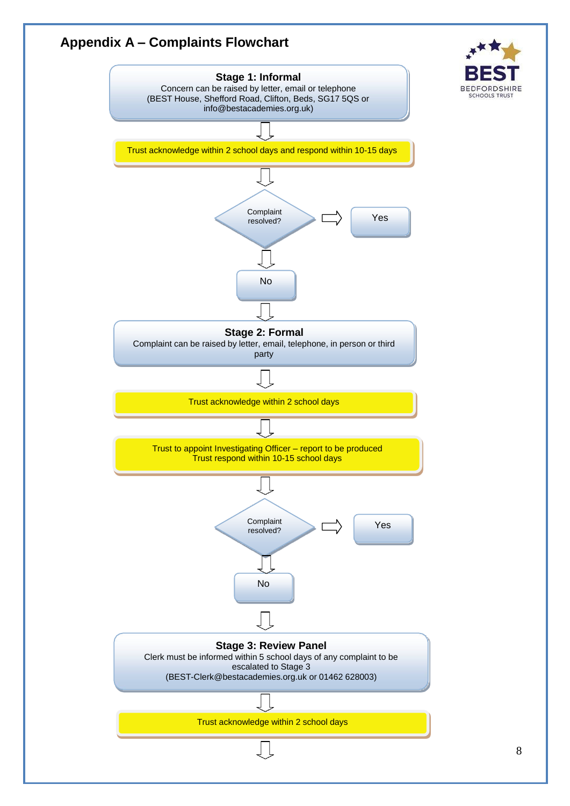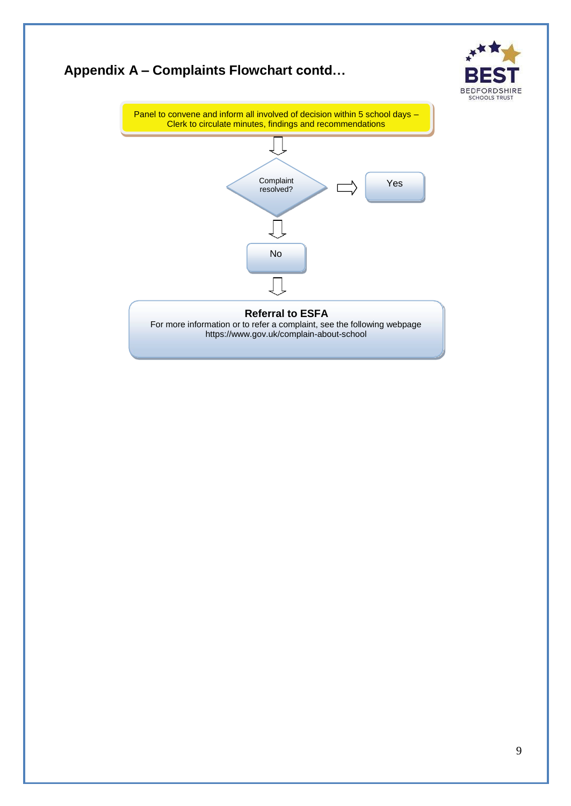